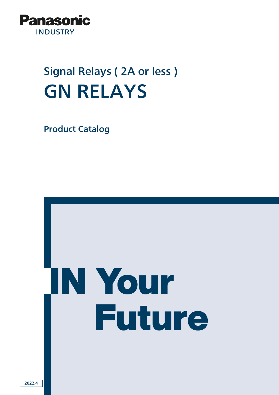

# Signal Relays ( 2A or less ) GN RELAYS

Product Catalog

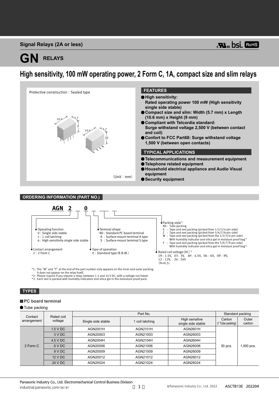### **Signal Relays (2A or less)**

# **GN RELAYS**

## **High sensitivity, 100 mW operating power, 2 Form C, 1A, compact size and slim relays**





\*1: The "W" and "Y" at the end of the part number only appears on the inner and outer packing.<br>t lt does not appear on the relay itself.<br>\*2: Please inquire if you require a relay, between 1.5 and 24 V DC, with a voltage no

#### **TYPES**

#### **PC** board terminal

#### **O**Tube packing

| Contact     | Rated coil |                    | Part No.        |                                      |                            | Standard packing |  |
|-------------|------------|--------------------|-----------------|--------------------------------------|----------------------------|------------------|--|
| arrangement | voltage    | Single side stable | l coil latching | High sensitive<br>single side stable | Carton<br>(1 Tube packing) | Outer<br>carton  |  |
|             | $1.5$ V DC | AGN2001H           | AGN2101H        | AGN2601H                             |                            | $1,000$ pcs.     |  |
|             | 3 V DC     | AGN20003           | AGN21003        | AGN26003                             | 50 pcs.                    |                  |  |
|             | 4.5 V DC   | AGN2004H           | AGN2104H        | AGN2604H                             |                            |                  |  |
| 2 Form C    | 6 V DC     | AGN20006           | AGN21006        | AGN26006                             |                            |                  |  |
|             | 9 V DC     | AGN20009           | AGN21009        | AGN26009                             |                            |                  |  |
|             | 12 V DC    | AGN20012           | AGN21012        | AGN26012                             |                            |                  |  |
|             | 24 V DC    | AGN20024           | AGN21024        | AGN26024                             |                            |                  |  |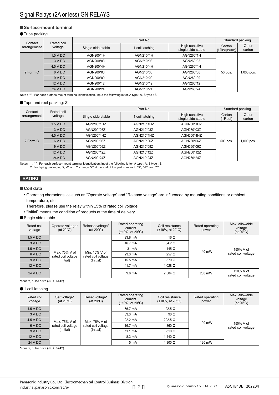#### **Surface-mount terminal**

#### **O**Tube packing

| Contact     | Rated coil              | Part No.           |               |                                      |                         | Standard packing |  |
|-------------|-------------------------|--------------------|---------------|--------------------------------------|-------------------------|------------------|--|
| arrangement | voltage                 | Single side stable | coil latching | High sensitive<br>single side stable | Carton<br>Tube packing) | Outer<br>carton  |  |
|             | $1.5$ V DC<br>AGN200*1H | AGN210*1H          | AGN260*1H     |                                      |                         |                  |  |
|             | 3 V DC                  | AGN200*03          | AGN210*03     | AGN260*03                            | 50 pcs.                 | $1,000$ pcs.     |  |
|             | 4.5 V DC                | AGN200*4H          | AGN210*4H     | AGN260*4H                            |                         |                  |  |
| 2 Form C    | 6 V DC                  | AGN200*06          | AGN210*06     | AGN260*06                            |                         |                  |  |
|             | 9 V DC                  | AGN200*09          | AGN210*09     | AGN260*09                            |                         |                  |  |
|             | 12 V DC                 | AGN200*12          | AGN210*12     | AGN260*12                            |                         |                  |  |
|             | 24 V DC                 | AGN200*24          | AGN210*24     | AGN260*24                            |                         |                  |  |

Note : "\*" : For each surface-mount terminal identitication, input the following letter. A type : A, S type : S.

#### ● Tape and reel packing: Z

| Contact     | Rated coil    | Part No.           |                 |                                      | Standard packing        |                 |
|-------------|---------------|--------------------|-----------------|--------------------------------------|-------------------------|-----------------|
| arrangement | voltage       | Single side stable | 1 coil latching | High sensitive<br>single side stable | Carton<br>$(1$ Reel $)$ | Outer<br>carton |
|             | $1.5$ V DC    | AGN200*1HZ         | AGN210*1HZ      | AGN260*1HZ                           | 500 pcs.                | $1,000$ pcs.    |
|             | 3 VDC         | AGN200*03Z         | AGN210*03Z      | AGN260*03Z                           |                         |                 |
|             | 4.5 V DC      | AGN200*4HZ         | AGN210*4HZ      | AGN260*4HZ                           |                         |                 |
| 2 Form C    | 6 V DC        | AGN200*06Z         | AGN210*06Z      | AGN260*06Z                           |                         |                 |
|             | 9 V DC        | AGN200*09Z         | AGN210*09Z      | AGN260*09Z                           |                         |                 |
|             | 12 V DC       | AGN200*12Z         | AGN210*12Z      | AGN260*12Z                           |                         |                 |
|             | <b>24V DC</b> | AGN200*24Z         | AGN210*24Z      | AGN260*24Z                           |                         |                 |

Notes : 1. "\*" : For each surface-mount terminal identitication, input the following letter. A type : A, S type : S. 2. For taping packaging X, W, and Y, change "Z" at the end of the part number to "X", "W", and "Y".

#### **RATING**

#### **Coil data**

- Operating characteristics such as "Operate voltage" and "Release voltage" are influenced by mounting conditions or ambient temperature, etc.
- Therefore, please use the relay within ±5% of rated coil voltage.
- "Initial" means the condition of products at the time of delivery.

#### Single side stable

| Rated coil<br>voltage | Operate voltage*<br>$(at 20^{\circ}C)$ | Release voltage*<br>(at $20^{\circ}$ C) | Rated operating<br>current<br>$(\pm 10\% , \text{ at } 20^{\circ} \text{C})$ | Coil resistance<br>$(\pm 10\%, \text{ at } 20^{\circ}\text{C})$ | Rated operating<br>power | Max. allowable<br>voltage<br>(at $20^{\circ}$ C) |
|-----------------------|----------------------------------------|-----------------------------------------|------------------------------------------------------------------------------|-----------------------------------------------------------------|--------------------------|--------------------------------------------------|
| 1.5 V DC              |                                        |                                         | 93.8 mA                                                                      | 16 Ω                                                            |                          |                                                  |
| 3 V DC                |                                        |                                         | 46.7 mA                                                                      | 64.2 $\Omega$                                                   |                          |                                                  |
| 4.5 V DC              |                                        |                                         | 31 mA                                                                        | 145 $\Omega$                                                    | 140 mW                   | 150% V of                                        |
| 6 V DC                | Max. 75% V of<br>rated coil voltage    | Min. 10% V of<br>rated coil voltage     | $23.3 \text{ mA}$                                                            | $257 \Omega$                                                    |                          | rated coil voltage                               |
| 9VDC                  | (Initial)                              | (Initial)                               | 15.5 mA                                                                      | 579 $\Omega$                                                    |                          |                                                  |
| 12 V DC               |                                        |                                         | $11.7 \text{ mA}$                                                            | 1.028 $\Omega$                                                  |                          |                                                  |
| 24 V DC               |                                        |                                         | $9.6 \text{ mA}$                                                             | $2.504$ $\Omega$                                                | 230 mW                   | 120% V of<br>rated coil voltage                  |

\*square, pulse drive (JIS C 5442)

#### $•1$  coil latching

| Rated coil<br>voltage | Set voltage*<br>$(at 20^{\circ}C)$ | Reset voltage*<br>$(at 20^{\circ}C)$ | Rated operating<br>current<br>$(\pm 10\% , \text{ at } 20^{\circ} \text{C})$ | Coil resistance<br>$(\pm 10\%, \text{ at } 20^{\circ}\text{C})$ | Rated operating<br>power | Max. allowable<br>voltage<br>(at $20^{\circ}$ C) |
|-----------------------|------------------------------------|--------------------------------------|------------------------------------------------------------------------------|-----------------------------------------------------------------|--------------------------|--------------------------------------------------|
| 1.5 V DC              |                                    |                                      | 66.7 mA                                                                      | $22.5 \Omega$                                                   |                          |                                                  |
| 3 V DC                |                                    |                                      | $33.3 \text{ mA}$                                                            | 90 $\Omega$                                                     | 100 mW                   | 150% V of<br>rated coil voltage                  |
| 4.5 V DC              | Max. 75% V of                      | Max. 75% V of<br>rated coil voltage  | $22.2 \text{ mA}$                                                            | $202.5 \Omega$                                                  |                          |                                                  |
| 6 V DC                | rated coil voltage                 |                                      | $16.7 \text{ mA}$                                                            | $360 \Omega$                                                    |                          |                                                  |
| 9 V DC                | (Initial)<br>(Initial)             | $11.1 \text{ mA}$                    | $810 \Omega$                                                                 |                                                                 |                          |                                                  |
| 12 V DC               |                                    |                                      | 8.3 mA                                                                       | 1.440 $\Omega$                                                  |                          |                                                  |
| 24 V DC               |                                    |                                      | $5 \text{ mA}$                                                               | $4.800 \Omega$                                                  | 120 mW                   |                                                  |

\*square, pulse drive (JIS C 5442)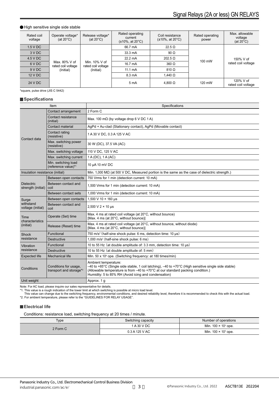#### High sensitive single side stable

| Rated coil<br>voltage | Operate voltage*<br>$(at 20^{\circ}C)$ | Release voltage*<br>(at $20^{\circ}$ C) | Rated operating<br>current<br>$(\pm 10\% , \text{ at } 20^{\circ} \text{C})$ | Coil resistance<br>$(\pm 10\%, \text{ at } 20^{\circ}\text{C})$ | Rated operating<br>power | Max. allowable<br>voltage<br>(at $20^{\circ}$ C) |
|-----------------------|----------------------------------------|-----------------------------------------|------------------------------------------------------------------------------|-----------------------------------------------------------------|--------------------------|--------------------------------------------------|
| 1.5 V DC              |                                        |                                         | 66.7 mA                                                                      | 22.5 $\Omega$                                                   |                          |                                                  |
| 3 V DC                |                                        |                                         | $33.3 \text{ mA}$                                                            | 90 $\Omega$                                                     |                          |                                                  |
| 4.5 V DC              |                                        |                                         |                                                                              | $22.2 \text{ mA}$                                               | $202.5 \Omega$           | $100 \text{ mW}$                                 |
| 6 V DC                | Max, 80% V of<br>rated coil voltage    | Min. 10% V of<br>rated coil voltage     | 16.7 mA                                                                      | $360 \Omega$                                                    |                          | rated coil voltage                               |
| 9 V DC                | (Initial)                              | (Initial)                               | $11.1 \text{ mA}$                                                            | $810 \Omega$                                                    |                          |                                                  |
| 12 V DC               |                                        |                                         | 8.3 mA                                                                       | 1.440 $\Omega$                                                  |                          |                                                  |
| 24 V DC               |                                        |                                         | 5 <sub>m</sub> A                                                             | $4.800 \Omega$                                                  | 120 mW                   | 120% V of<br>rated coil voltage                  |

\*square, pulse drive (JIS C 5442)

#### **Specifications**

|                                                                | Item                                       | Specifications                                                                                                                                                                                                                                                              |  |  |
|----------------------------------------------------------------|--------------------------------------------|-----------------------------------------------------------------------------------------------------------------------------------------------------------------------------------------------------------------------------------------------------------------------------|--|--|
|                                                                | Contact arrangement                        | 2 Form C                                                                                                                                                                                                                                                                    |  |  |
|                                                                | Contact resistance<br>(initial)            | Max. 100 m $\Omega$ (by voltage drop 6 V DC 1 A)                                                                                                                                                                                                                            |  |  |
|                                                                | Contact material                           | AgPd + Au-clad (Stationary contact), AgPd (Movable contact)                                                                                                                                                                                                                 |  |  |
| Contact data                                                   | Contact rating<br>(resistive)              | 1 A 30 V DC, 0.3 A 125 V AC                                                                                                                                                                                                                                                 |  |  |
|                                                                | Max. switching power<br>(resistive)        | 30 W (DC), 37.5 VA (AC)                                                                                                                                                                                                                                                     |  |  |
|                                                                | Max. switching voltage                     | 110 V DC, 125 V AC                                                                                                                                                                                                                                                          |  |  |
|                                                                | Max. switching current                     | $1A(DC)$ , $1A(AC)$                                                                                                                                                                                                                                                         |  |  |
|                                                                | Min. switching load<br>(reference value)*1 | 10 µA 10 mV DC                                                                                                                                                                                                                                                              |  |  |
| Insulation resistance (initial)                                |                                            | Min. 1,000 M $\Omega$ (at 500 V DC, Measured portion is the same as the case of dielectric strength.)                                                                                                                                                                       |  |  |
|                                                                | Between open contacts                      | 750 Vrms for 1 min (detection current: 10 mA)                                                                                                                                                                                                                               |  |  |
| <b>Dielectric</b><br>strength (initial)                        | Between contact and<br>coil                | 1,500 Vrms for 1 min (detection current: 10 mA)                                                                                                                                                                                                                             |  |  |
|                                                                | Between contact sets                       | 1,000 Vrms for 1 min (detection current: 10 mA)                                                                                                                                                                                                                             |  |  |
| Between open contacts<br>Surge                                 |                                            | 1,500 V 10 × 160 µs                                                                                                                                                                                                                                                         |  |  |
| withstand<br>voltage (initial)                                 | Between contact and<br>coil                | $2,500 \text{ V } 2 \times 10 \text{ }\mu\text{s}$                                                                                                                                                                                                                          |  |  |
| Time<br>characteristics                                        | Operate (Set) time                         | Max. 4 ms at rated coil voltage (at 20°C, without bounce)<br>[Max. 4 ms (at 20°C, without bounce)]                                                                                                                                                                          |  |  |
| (initial)                                                      | Release (Reset) time                       | Max. 4 ms at rated coil voltage (at 20°C, without bounce, without diode)<br>[Max. 4 ms (at 20°C, without bounce)]                                                                                                                                                           |  |  |
| Shock                                                          | Functional                                 | 750 m/s <sup>2</sup> (half-sine shock pulse: 6 ms, detection time: 10 $\mu$ s)                                                                                                                                                                                              |  |  |
| resistance                                                     | <b>Destructive</b>                         | 1,000 m/s <sup>2</sup> (half-sine shock pulse: 6 ms)                                                                                                                                                                                                                        |  |  |
| Vibration                                                      | Functional                                 | 10 to 55 Hz (at double amplitude of: 3.3 mm, detection time: 10 µs)                                                                                                                                                                                                         |  |  |
| resistance                                                     | <b>Destructive</b>                         | 10 to 55 Hz (at double amplitude of: 5 mm)                                                                                                                                                                                                                                  |  |  |
| <b>Expected life</b>                                           | <b>Mechanical life</b>                     | Min. 50 x 10 <sup>6</sup> ope. (Switching frequency: at 180 times/min)                                                                                                                                                                                                      |  |  |
| Conditions for usage,<br>Conditions<br>transport and storage*2 |                                            | Ambient temperature:<br>$-40$ to +85°C (Single side stable, 1 coil latching), $-40$ to +70°C (High sensitive single side stable)<br>(Allowable temperature is from -40 to +70°C at our standard packing condition.)<br>Humidity: 5 to 85% RH (Avoid icing and condensation) |  |  |
| Unit weight                                                    |                                            | Approx. 1 g                                                                                                                                                                                                                                                                 |  |  |

Note: For AC load, please inquire our sales representative for details.<br>\*1. This value is a rough indication of the lower limit at which switching is possible at micro load level.<br>This value can change due to the switching \*2. For ambient temperature, please refer to the "GUIDELINES FOR RELAY USAGE".

#### **Electrical life**

Conditions: resistance load, switching frequency at 20 times / minute.

| Type     | Switching capacity | Number of operations        |
|----------|--------------------|-----------------------------|
|          | A 30 V DC          | Min. $100 \times 10^3$ ope. |
| 2 Form C | 0.3 A 125 V AC     | Min. $100 \times 10^3$ ope. |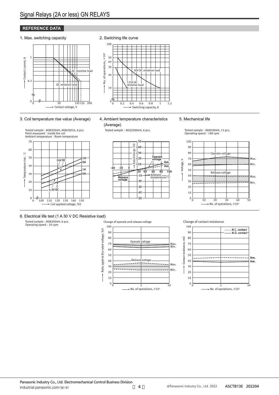#### **REFERENCE DATA**

#### 1. Max. switching capacity







#### 3. Coil temperature rise value (Average)

Tested sample : AGN2004H, AGN20024, 6 pcs.<br>Point measured : Inside the coil

#### 4. Ambient temperature characteristics (Average)

Tested sample: AGQ200A4H, 6 pcs.

#### Ambient temperature: Room temperature 70 60 Temperature rise, °C Temperature rise , °C 50  $\frac{1}{24}$ V DC  $\frac{1}{24}$ <sup>1A</sup> 0A 40 1A 30 0A 20  $7/\sqrt{2}$ 10  $\Omega$ 100 120110 130 140 150  $\alpha$ Coil applied voltage, %V



5. Mechanical life

Tested sample: AGN2004H, 15 pcs.<br>Operating speed: 180 cpm



## 6. Electrical life test (1 A 30 V DC Resistive load)

Tested sample : AGN2004H, 6 pcs. Operating speed : 20 cpm



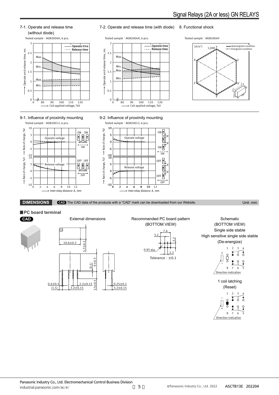

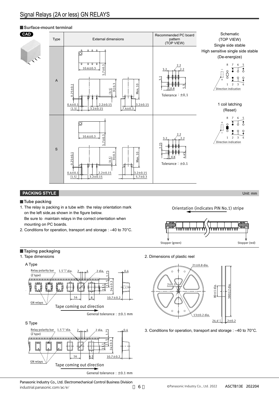#### **Surface-mount terminal**



#### **PACKING STYLE** Unit: mm

**Tube packing**

1. The relay is packing in a tube with the relay orientation mark on the left side,as shown in the figure below.

Be sure to maintain relays in the correct orientation when mounting on PC boards.

2. Conditions for operation, transport and storage : –40 to 70°C.

**Taping packaging**





Panasonic Industry Co., Ltd. Electromechanical Control Business Division industrial.panasonic.com/ac/e/ ー 6 Orientation (indicates PIN No.1) stripe



1. Tape dimensions 2. Dimensions of plastic reel



3. Conditions for operation, transport and storage : –40 to 70°C.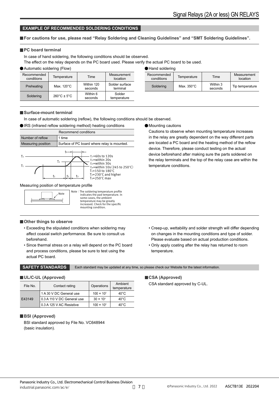#### **EXAMPLE OF RECOMMENDED SOLDERING CONDITIONS**

#### **For cautions for use, please read "Relay Soldering and Cleaning Guidelines" and "SMT Soldering Guidelines".**

#### **PC** board terminal

#### In case of hand soldering, the following conditions should be observed.

The effect on the relay depends on the PC board used. Please verify the actual PC board to be used.

| Automatic soldering (Flow) |  |
|----------------------------|--|
|----------------------------|--|

| Recommended<br>conditions | Temperature                      | Time                  | Measurement<br>location    |
|---------------------------|----------------------------------|-----------------------|----------------------------|
| Preheating                | Max. 120°C                       | Within 120<br>seconds | Solder surface<br>terminal |
| Soldering                 | $260^{\circ}$ C ± 5 $^{\circ}$ C | Within 6<br>seconds   | Solder<br>temperature      |

Hand soldering

| Recommended<br>conditions | Temperature          | Time                | Measurement<br>location |
|---------------------------|----------------------|---------------------|-------------------------|
| Soldering                 | Max. $350^{\circ}$ C | Within 3<br>seconds | Tip temperature         |
|                           |                      |                     |                         |

#### **Surface-mount terminal**

In case of automatic soldering (reflow), the following conditions should be observed.

IRS (infrared reflow soldering method) heating conditions



#### Measuring position of temperature profile



 $\overline{\phantom{a}}$  Note : The soldering temperature profile<br>Note indicates the ned temperature in indicates the pad temperature. In some cases, the ambient temperature may be greatly increased. Check for the specific mounting condition.

#### **Other things to observe**

- Exceeding the stipulated conditions when soldering may affect coaxial switch performance. Be sure to consult us beforehand.
- Since thermal stress on a relay will depend on the PC board and process conditions, please be sure to test using the actual PC board.

Mounting cautions

Cautions to observe when mounting temperature increases in the relay are greatly dependent on the way different parts are located a PC board and the heating method of the reflow device. Therefore, please conduct testing on the actual device beforehand after making sure the parts soldered on the relay terminals and the top of the relay case are within the temperature conditions.

- Creep-up, wettability and solder strength will differ depending on changes in the mounting conditions and type of solder. Please evaluate based on actual production conditions.
- Only apply coating after the relay has returned to room temperature.

**SAFETY STANDARDS** Each standard may be updated at any time, so please check our Website for the latest information.

#### **UL/C-UL (Approved)**

| File No. | Contact rating             | Operations          | Ambient<br>temperature |
|----------|----------------------------|---------------------|------------------------|
|          | 1 A 30 V DC General use    | $100 \times 10^{3}$ | $40^{\circ}$ C         |
| E43149   | 0.3 A 110 V DC General use | $30 \times 10^{3}$  | $40^{\circ}$ C         |
|          | 0.3 A 125 V AC Resistive   | $100 \times 10^{3}$ | $40^{\circ}$ C         |

#### **BSI (Approved)**

BSI standard approved by File No. VC648944 (basic insulation).

#### **CSA (Approved)**

CSA standard approved by C-UL.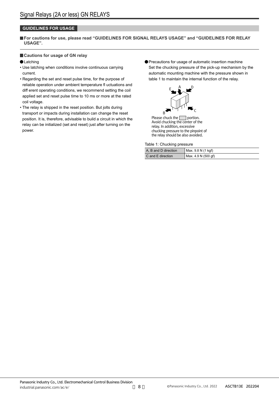#### **GUIDELINES FOR USAGE**

**For cautions for use, please read "GUIDELINES FOR SIGNAL RELAYS USAGE" and "GUIDELINES FOR RELAY USAGE".**

#### **Cautions for usage of GN relay**

#### **OLatching**

- Use latching when conditions involve continuous carrying current.
- Regarding the set and reset pulse time, for the purpose of reliable operation under ambient temperature fl uctuations and diff erent operating conditions, we recommend setting the coil applied set and reset pulse time to 10 ms or more at the rated coil voltage.
- The relay is shipped in the reset position. But jolts during transport or impacts during installation can change the reset position. It is, therefore, advisable to build a circuit in which the relay can be initialized (set and reset) just after turning on the power.
- Precautions for usage of automatic insertion machine Set the chucking pressure of the pick-up mechanism by the automatic mounting machine with the pressure shown in table 1 to maintain the internal function of the relay.



Please chuck the  $\Box$  portion. Avoid chucking the center of the relay. In addition, excessive chucking pressure to the pinpoint of the relay should be also avoided.

Table 1: Chucking pressure

| A, B and D direction | Max. 9.8 N (1 kgf)  |
|----------------------|---------------------|
| C and E direction    | Max. 4.9 N (500 gf) |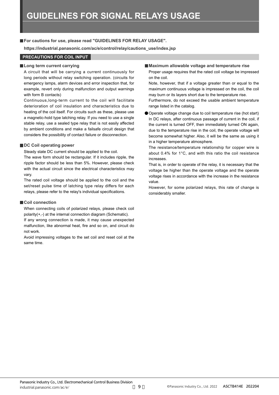#### **For cautions for use, please read "GUIDELINES FOR RELAY USAGE".**

**https://industrial.panasonic.com/ac/e/control/relay/cautions\_use/index.jsp**

#### **PRECAUTIONS FOR COIL INPUT**

#### **Long term current carrying**

A circuit that will be carrying a current continuously for long periods without relay switching operation. (circuits for emergency lamps, alarm devices and error inspection that, for example, revert only during malfunction and output warnings with form B contacts)

Continuous,long-term current to the coil will facilitate deterioration of coil insulation and characteristics due to heating of the coil itself. For circuits such as these, please use a magnetic-hold type latching relay. If you need to use a single stable relay, use a sealed type relay that is not easily affected by ambient conditions and make a failsafe circuit design that considers the possibility of contact failure or disconnection.

#### **DC Coil operating power**

Steady state DC current should be applied to the coil.

The wave form should be rectangular. If it includes ripple, the ripple factor should be less than 5%. However, please check with the actual circuit since the electrical characteristics may vary.

The rated coil voltage should be applied to the coil and the set/reset pulse time of latching type relay differs for each relays, please refer to the relay's individual specifications.

#### **Coil connection**

When connecting coils of polarized relays, please check coil polarity(+,-) at the internal connection diagram (Schematic).

If any wrong connection is made, it may cause unexpected malfunction, like abnormal heat, fire and so on, and circuit do not work.

Avoid impressing voltages to the set coil and reset coil at the same time.

#### **Maximum allowable voltage and temperature rise**

Proper usage requires that the rated coil voltage be impressed on the coil.

Note, however, that if a voltage greater than or equal to the maximum continuous voltage is impressed on the coil, the coil may burn or its layers short due to the temperature rise.

Furthermore, do not exceed the usable ambient temperature range listed in the catalog.

Operate voltage change due to coil temperature rise (hot start) In DC relays, after continuous passage of current in the coil, if the current is turned OFF, then immediately turned ON again, due to the temperature rise in the coil, the operate voltage will become somewhat higher. Also, it will be the same as using it in a higher temperature atmosphere.

The resistance/temperature relationship for copper wire is about 0.4% for 1°C, and with this ratio the coil resistance increases.

That is, in order to operate of the relay, it is necessary that the voltage be higher than the operate voltage and the operate voltage rises in accordance with the increase in the resistance value.

However, for some polarized relays, this rate of change is considerably smaller.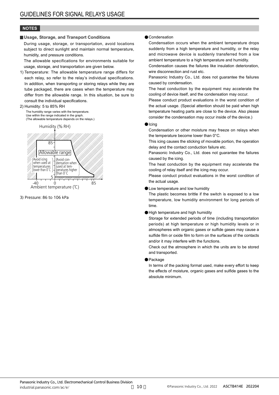#### **NOTES**

#### **Usage, Storage, and Transport Conditions**

During usage, storage, or transportation, avoid locations subject to direct sunlight and maintain normal temperature, humidity, and pressure conditions.

The allowable specifications for environments suitable for usage, storage, and transportation are given below.

1) Temperature: The allowable temperature range differs for each relay, so refer to the relay's individual specifications. In addition, when transporting or storing relays while they are tube packaged, there are cases when the temperature may differ from the allowable range. In this situation, be sure to consult the individual specifications.

#### 2) Humidity: 5 to 85% RH

The humidity range varies with the temperature. Use within the range indicated in the graph. (The allowable temperature depends on the relays.)





3) Pressure: 86 to 106 kPa

#### **Condensation**

Condensation occurs when the ambient temperature drops suddenly from a high temperature and humidity, or the relay and microwave device is suddenly transferred from a low ambient temperature to a high temperature and humidity.

Condensation causes the failures like insulation deterioration, wire disconnection and rust etc.

Panasonic Industry Co., Ltd. does not guarantee the failures caused by condensation.

The heat conduction by the equipment may accelerate the cooling of device itself, and the condensation may occur.

Please conduct product evaluations in the worst condition of the actual usage. (Special attention should be paid when high temperature heating parts are close to the device. Also please consider the condensation may occur inside of the device.)

#### $\blacksquare$ Icing

Condensation or other moisture may freeze on relays when the temperature become lower than 0°C.

This icing causes the sticking of movable portion, the operation delay and the contact conduction failure etc.

Panasonic Industry Co., Ltd. does not guarantee the failures caused by the icing.

The heat conduction by the equipment may accelerate the cooling of relay itself and the icing may occur.

Please conduct product evaluations in the worst condition of the actual usage.

#### **OLow temperature and low humidity**

The plastic becomes brittle if the switch is exposed to a low temperature, low humidity environment for long periods of time.

High temperature and high humidity

Storage for extended periods of time (including transportation periods) at high temperature or high humidity levels or in atmospheres with organic gases or sulfide gases may cause a sulfide film or oxide film to form on the surfaces of the contacts and/or it may interfere with the functions.

Check out the atmosphere in which the units are to be stored and transported.

#### **•** Package

In terms of the packing format used, make every effort to keep the effects of moisture, organic gases and sulfide gases to the absolute minimum.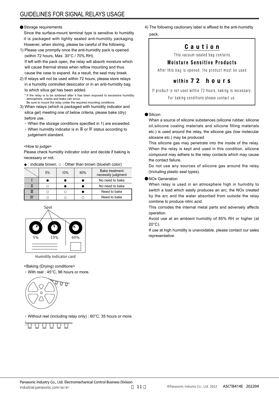#### Storage requirements

Since the surface-mount terminal type is sensitive to humidity it is packaged with tightly sealed anti-humidity packaging. However, when storing, please be careful of the following.

- 1) Please use promptly once the anti-humidity pack is opened. (within 72 hours, Max. 30°C / 70% RH). If left with the pack open, the relay will absorb moisture which will cause thermal stress when reflow mounting and thus cause the case to expand. As a result, the seal may break.
- 2) If relays will not be used within 72 hours, please store relays in a humidity controlled desiccator or in an anti-humidity bag to which silica gel has been added.

\* If the relay is to be soldered after it has been exposed to excessive humidity atmosphere, cracks and leaks can occur. Be sure to mount the relay under the required mounting conditions.

3) When relays (which is packaged with humidity indicator and silica gel) meeting one of below criteria, please bake (dry) before use.

- When the storage conditions specified in 1) are exceeded.
- When humidity indicator is in Ⅲ or Ⅳ status according to judgement standard.

#### <How to judge>

Please check humidity indicator color and decide if baking is necessary or not.

● : indicate brown, ○ : Other than brown (blueish color)

| 5% | 10% | 60% | <b>Bake treatment</b><br>necessity judgment |
|----|-----|-----|---------------------------------------------|
|    |     |     | No need to bake                             |
|    |     |     | No need to bake                             |
|    |     |     | Need to bake                                |
|    |     |     | Need to bake                                |



Humidity indicator card

#### <Baking (Drying) conditions>

With reel : 45°C, 96 hours or more.



Without reel (including relay only) : 60°C, 35 hours or more.

4) The following cautionary label is affixed to the anti-humidity pack.

## Caution

This vacuum-sealed bag contains

### **Moisture Sensitive Products**

After this bag is opened, the product must be used

#### within 7 2 hours

If product is not used within 72 hours, baking is necessary. For baking conditions please contact us.

#### **Silicon**

When a source of silicone substances (silicone rubber, silicone oil,silicone coating materials and silicone filling materials etc.) is used around the relay, the silicone gas (low molecular siloxane etc.) may be produced

This silicone gas may penetrate into the inside of the relay. When the relay is kept and used in this condition, silicone compound may adhere to the relay contacts which may cause the contact failure.

Do not use any sources of silicone gas around the relay (Including plastic seal types).

#### NOx Generation

When relay is used in an atmosphere high in humidity to switch a load which easily produces an arc, the NOx created by the arc and the water absorbed from outside the relay combine to produce nitric acid.

This corrodes the internal metal parts and adversely affects operation.

Avoid use at an ambient humidity of 85% RH or higher (at 20°C).

If use at high humidity is unavoidable, please contact our sales representative.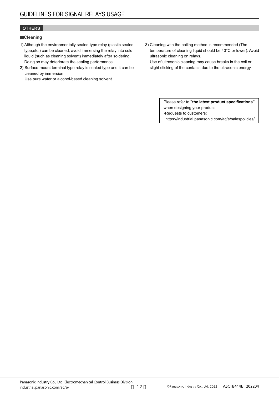#### **OTHERS**

#### **Cleaning**

- 1) Although the environmentally sealed type relay (plastic sealed type,etc.) can be cleaned, avoid immersing the relay into cold liquid (such as cleaning solvent) immediately after soldering. Doing so may deteriorate the sealing performance.
- 2) Surface-mount terminal type relay is sealed type and it can be cleaned by immersion.

Use pure water or alcohol-based cleaning solvent.

3) Cleaning with the boiling method is recommended (The temperature of cleaning liquid should be 40°C or lower). Avoid ultrasonic cleaning on relays.

Use of ultrasonic cleaning may cause breaks in the coil or slight sticking of the contacts due to the ultrasonic energy.

> Please refer to **"the latest product specifications"** when designing your product. •Requests to customers: https://industrial.panasonic.com/ac/e/salespolicies/